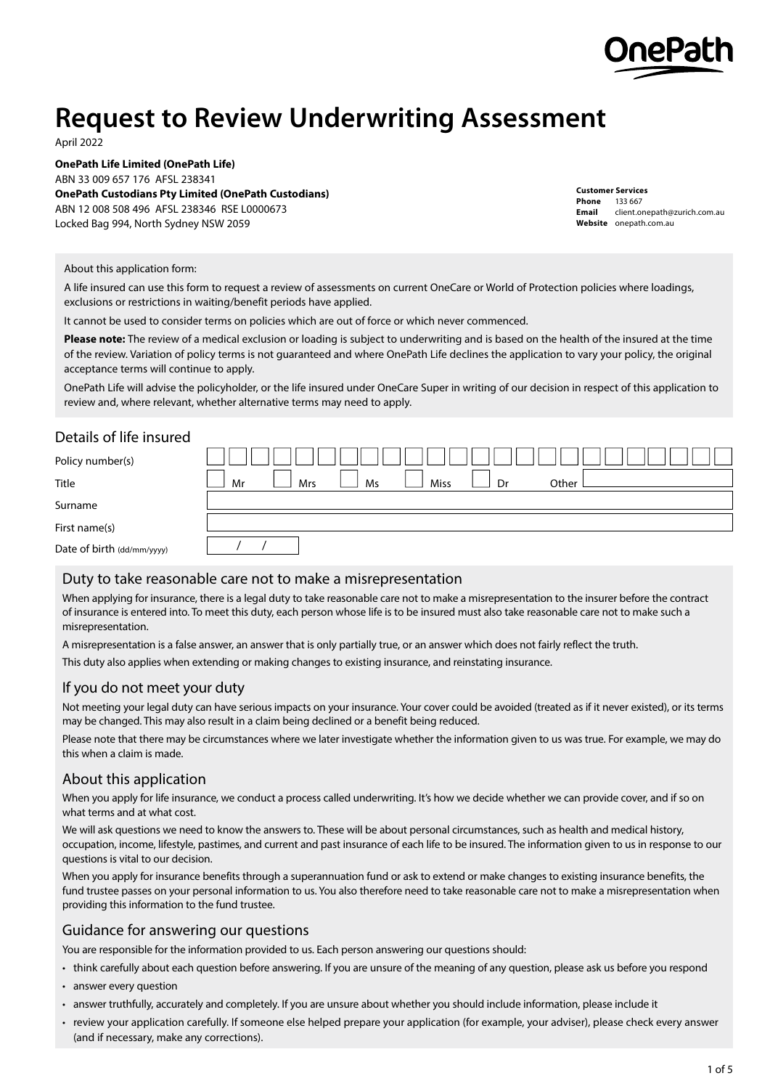

# **Request to Review Underwriting Assessment**

April 2022

**OnePath Life Limited (OnePath Life)** ABN 33 009 657 176 AFSL 238341 **OnePath Custodians Pty Limited (OnePath Custodians)** ABN 12 008 508 496 AFSL 238346 RSE L0000673 Locked Bag 994, North Sydney NSW 2059

**Customer Services Phone** 133 667 **Email** client.onepath@zurich.com.au **Website** [onepath.com.au](http://www.onepath.com.au)

#### About this application form:

A life insured can use this form to request a review of assessments on current OneCare or World of Protection policies where loadings, exclusions or restrictions in waiting/benefit periods have applied.

It cannot be used to consider terms on policies which are out of force or which never commenced.

**Please note:** The review of a medical exclusion or loading is subject to underwriting and is based on the health of the insured at the time of the review. Variation of policy terms is not guaranteed and where OnePath Life declines the application to vary your policy, the original acceptance terms will continue to apply.

OnePath Life will advise the policyholder, or the life insured under OneCare Super in writing of our decision in respect of this application to review and, where relevant, whether alternative terms may need to apply.

# Details of life insured

| Policy number(s)           |                                               |
|----------------------------|-----------------------------------------------|
| Title                      | Other<br>Dr<br>Ms<br><b>Miss</b><br>Mrs<br>Mr |
| Surname                    |                                               |
| First name(s)              |                                               |
| Date of birth (dd/mm/yyyy) |                                               |

#### Duty to take reasonable care not to make a misrepresentation

When applying for insurance, there is a legal duty to take reasonable care not to make a misrepresentation to the insurer before the contract of insurance is entered into. To meet this duty, each person whose life is to be insured must also take reasonable care not to make such a misrepresentation.

A misrepresentation is a false answer, an answer that is only partially true, or an answer which does not fairly reflect the truth.

This duty also applies when extending or making changes to existing insurance, and reinstating insurance.

#### If you do not meet your duty

Not meeting your legal duty can have serious impacts on your insurance. Your cover could be avoided (treated as if it never existed), or its terms may be changed. This may also result in a claim being declined or a benefit being reduced.

Please note that there may be circumstances where we later investigate whether the information given to us was true. For example, we may do this when a claim is made.

#### About this application

When you apply for life insurance, we conduct a process called underwriting. It's how we decide whether we can provide cover, and if so on what terms and at what cost.

We will ask questions we need to know the answers to. These will be about personal circumstances, such as health and medical history, occupation, income, lifestyle, pastimes, and current and past insurance of each life to be insured. The information given to us in response to our questions is vital to our decision.

When you apply for insurance benefits through a superannuation fund or ask to extend or make changes to existing insurance benefits, the fund trustee passes on your personal information to us. You also therefore need to take reasonable care not to make a misrepresentation when providing this information to the fund trustee.

#### Guidance for answering our questions

You are responsible for the information provided to us. Each person answering our questions should:

• think carefully about each question before answering. If you are unsure of the meaning of any question, please ask us before you respond

- answer every question
- answer truthfully, accurately and completely. If you are unsure about whether you should include information, please include it
- review your application carefully. If someone else helped prepare your application (for example, your adviser), please check every answer (and if necessary, make any corrections).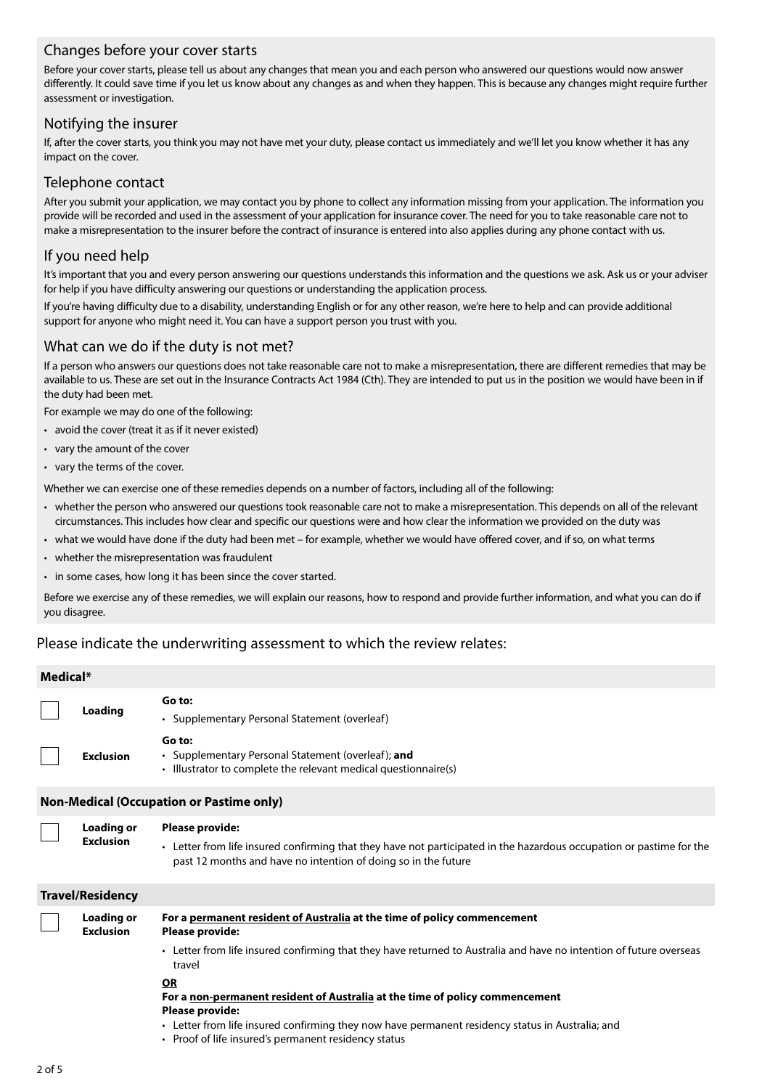# Changes before your cover starts

Before your cover starts, please tell us about any changes that mean you and each person who answered our questions would now answer differently. It could save time if you let us know about any changes as and when they happen. This is because any changes might require further assessment or investigation.

# Notifying the insurer

If, after the cover starts, you think you may not have met your duty, please contact us immediately and we'll let you know whether it has any impact on the cover.

#### Telephone contact

After you submit your application, we may contact you by phone to collect any information missing from your application. The information you provide will be recorded and used in the assessment of your application for insurance cover. The need for you to take reasonable care not to make a misrepresentation to the insurer before the contract of insurance is entered into also applies during any phone contact with us.

# If you need help

It's important that you and every person answering our questions understands this information and the questions we ask. Ask us or your adviser for help if you have difficulty answering our questions or understanding the application process.

If you're having difficulty due to a disability, understanding English or for any other reason, we're here to help and can provide additional support for anyone who might need it. You can have a support person you trust with you.

#### What can we do if the duty is not met?

If a person who answers our questions does not take reasonable care not to make a misrepresentation, there are different remedies that may be available to us. These are set out in the Insurance Contracts Act 1984 (Cth). They are intended to put us in the position we would have been in if the duty had been met.

For example we may do one of the following:

- avoid the cover (treat it as if it never existed)
- vary the amount of the cover
- vary the terms of the cover.

**Exclusion**

Whether we can exercise one of these remedies depends on a number of factors, including all of the following:

- whether the person who answered our questions took reasonable care not to make a misrepresentation. This depends on all of the relevant circumstances. This includes how clear and specific our questions were and how clear the information we provided on the duty was
- what we would have done if the duty had been met for example, whether we would have offered cover, and if so, on what terms
- whether the misrepresentation was fraudulent
- in some cases, how long it has been since the cover started.

Before we exercise any of these remedies, we will explain our reasons, how to respond and provide further information, and what you can do if you disagree.

# Please indicate the underwriting assessment to which the review relates:

| Medical*                                        |                  |                                                                                                                                 |  |  |  |
|-------------------------------------------------|------------------|---------------------------------------------------------------------------------------------------------------------------------|--|--|--|
|                                                 | <b>Loading</b>   | Go to:<br>• Supplementary Personal Statement (overleaf)                                                                         |  |  |  |
|                                                 | <b>Exclusion</b> | Go to:<br>• Supplementary Personal Statement (overleaf); and<br>• Illustrator to complete the relevant medical questionnaire(s) |  |  |  |
| <b>Non-Medical (Occupation or Pastime only)</b> |                  |                                                                                                                                 |  |  |  |

#### **Loading or Please provide:**

• Letter from life insured confirming that they have not participated in the hazardous occupation or pastime for the past 12 months and have no intention of doing so in the future

| <b>Travel/Residency</b>               |                                                                                                                                                                                                                                                                          |
|---------------------------------------|--------------------------------------------------------------------------------------------------------------------------------------------------------------------------------------------------------------------------------------------------------------------------|
| <b>Loading or</b><br><b>Exclusion</b> | For a permanent resident of Australia at the time of policy commencement<br><b>Please provide:</b>                                                                                                                                                                       |
|                                       | • Letter from life insured confirming that they have returned to Australia and have no intention of future overseas<br>travel                                                                                                                                            |
|                                       | ΟR<br>For a non-permanent resident of Australia at the time of policy commencement<br><b>Please provide:</b><br>• Letter from life insured confirming they now have permanent residency status in Australia; and<br>• Proof of life insured's permanent residency status |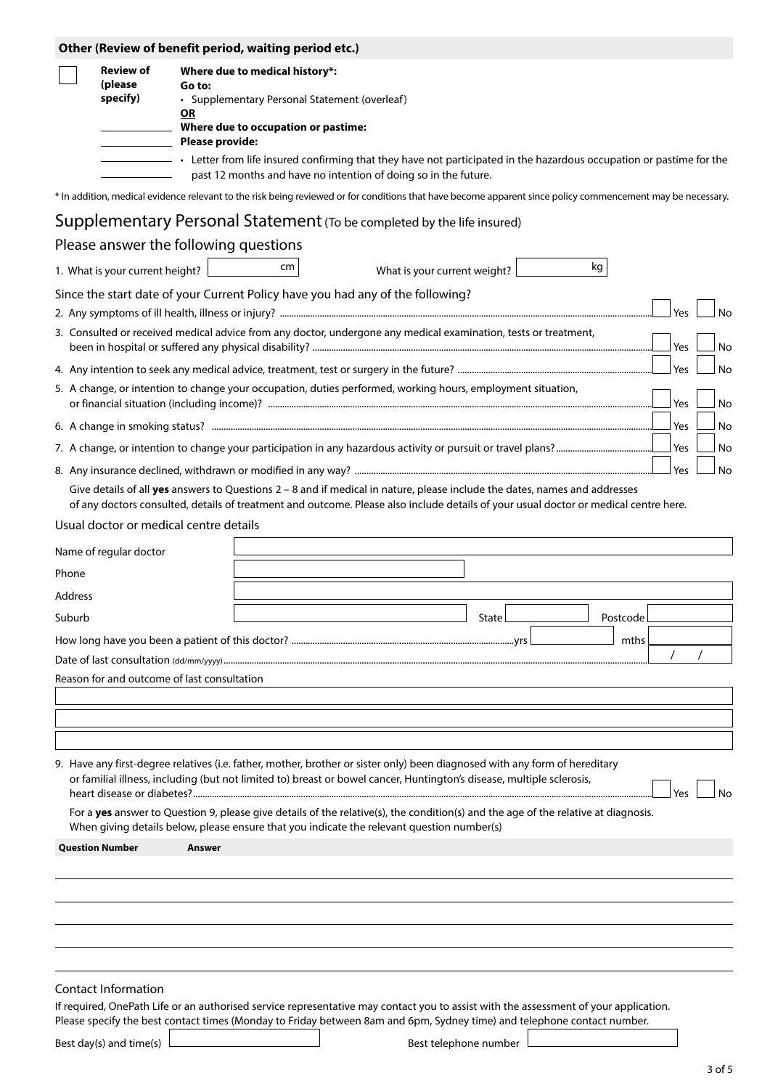|                |                                             |                        | Other (Review of benefit period, waiting period etc.)                                                                                                                                                                                                                |                              |                       |          |     |    |
|----------------|---------------------------------------------|------------------------|----------------------------------------------------------------------------------------------------------------------------------------------------------------------------------------------------------------------------------------------------------------------|------------------------------|-----------------------|----------|-----|----|
|                | <b>Review of</b>                            |                        | Where due to medical history*:                                                                                                                                                                                                                                       |                              |                       |          |     |    |
|                | (please<br>specify)                         | Go to:<br>OR           | • Supplementary Personal Statement (overleaf)                                                                                                                                                                                                                        |                              |                       |          |     |    |
|                |                                             | <b>Please provide:</b> | Where due to occupation or pastime:                                                                                                                                                                                                                                  |                              |                       |          |     |    |
|                |                                             |                        | • Letter from life insured confirming that they have not participated in the hazardous occupation or pastime for the<br>past 12 months and have no intention of doing so in the future.                                                                              |                              |                       |          |     |    |
|                |                                             |                        | * In addition, medical evidence relevant to the risk being reviewed or for conditions that have become apparent since policy commencement may be necessary.                                                                                                          |                              |                       |          |     |    |
|                |                                             |                        | Supplementary Personal Statement (To be completed by the life insured)                                                                                                                                                                                               |                              |                       |          |     |    |
|                | Please answer the following questions       |                        |                                                                                                                                                                                                                                                                      |                              |                       |          |     |    |
|                | 1. What is your current height?             |                        | cm                                                                                                                                                                                                                                                                   | What is your current weight? |                       | kg       |     |    |
|                |                                             |                        | Since the start date of your Current Policy have you had any of the following?                                                                                                                                                                                       |                              |                       |          |     |    |
|                |                                             |                        |                                                                                                                                                                                                                                                                      |                              |                       |          | Yes | No |
|                |                                             |                        | 3. Consulted or received medical advice from any doctor, undergone any medical examination, tests or treatment,                                                                                                                                                      |                              |                       |          | Yes | No |
|                |                                             |                        |                                                                                                                                                                                                                                                                      |                              |                       |          | Yes | No |
|                |                                             |                        | 5. A change, or intention to change your occupation, duties performed, working hours, employment situation,                                                                                                                                                          |                              |                       |          |     |    |
|                |                                             |                        |                                                                                                                                                                                                                                                                      |                              |                       |          | Yes | No |
|                |                                             |                        |                                                                                                                                                                                                                                                                      |                              |                       |          | Yes | No |
|                |                                             |                        |                                                                                                                                                                                                                                                                      |                              |                       |          | Yes | No |
|                |                                             |                        |                                                                                                                                                                                                                                                                      |                              |                       |          | Yes | No |
|                |                                             |                        | Give details of all yes answers to Questions $2 - 8$ and if medical in nature, please include the dates, names and addresses<br>of any doctors consulted, details of treatment and outcome. Please also include details of your usual doctor or medical centre here. |                              |                       |          |     |    |
|                | Usual doctor or medical centre details      |                        |                                                                                                                                                                                                                                                                      |                              |                       |          |     |    |
|                | Name of regular doctor                      |                        |                                                                                                                                                                                                                                                                      |                              |                       |          |     |    |
| Phone          |                                             |                        |                                                                                                                                                                                                                                                                      |                              |                       |          |     |    |
| <b>Address</b> |                                             |                        |                                                                                                                                                                                                                                                                      |                              |                       |          |     |    |
| Suburb         |                                             |                        |                                                                                                                                                                                                                                                                      |                              | State                 | Postcode |     |    |
|                |                                             |                        |                                                                                                                                                                                                                                                                      |                              |                       | mths     |     |    |
|                |                                             |                        |                                                                                                                                                                                                                                                                      |                              |                       |          |     |    |
|                | Reason for and outcome of last consultation |                        |                                                                                                                                                                                                                                                                      |                              |                       |          |     |    |
|                |                                             |                        |                                                                                                                                                                                                                                                                      |                              |                       |          |     |    |
|                |                                             |                        |                                                                                                                                                                                                                                                                      |                              |                       |          |     |    |
|                |                                             |                        |                                                                                                                                                                                                                                                                      |                              |                       |          |     |    |
|                |                                             |                        | 9. Have any first-degree relatives (i.e. father, mother, brother or sister only) been diagnosed with any form of hereditary<br>or familial illness, including (but not limited to) breast or bowel cancer, Huntington's disease, multiple sclerosis,                 |                              |                       |          | Yes | No |
|                |                                             |                        | For a yes answer to Question 9, please give details of the relative(s), the condition(s) and the age of the relative at diagnosis.<br>When giving details below, please ensure that you indicate the relevant question number(s)                                     |                              |                       |          |     |    |
|                | <b>Question Number</b>                      | Answer                 |                                                                                                                                                                                                                                                                      |                              |                       |          |     |    |
|                |                                             |                        |                                                                                                                                                                                                                                                                      |                              |                       |          |     |    |
|                |                                             |                        |                                                                                                                                                                                                                                                                      |                              |                       |          |     |    |
|                |                                             |                        |                                                                                                                                                                                                                                                                      |                              |                       |          |     |    |
|                |                                             |                        |                                                                                                                                                                                                                                                                      |                              |                       |          |     |    |
|                |                                             |                        |                                                                                                                                                                                                                                                                      |                              |                       |          |     |    |
|                | <b>Contact Information</b>                  |                        |                                                                                                                                                                                                                                                                      |                              |                       |          |     |    |
|                |                                             |                        | If required, OnePath Life or an authorised service representative may contact you to assist with the assessment of your application.                                                                                                                                 |                              |                       |          |     |    |
|                |                                             |                        | Please specify the best contact times (Monday to Friday between 8am and 6pm, Sydney time) and telephone contact number.                                                                                                                                              |                              |                       |          |     |    |
|                | Best day(s) and time(s)                     |                        |                                                                                                                                                                                                                                                                      |                              | Best telephone number |          |     |    |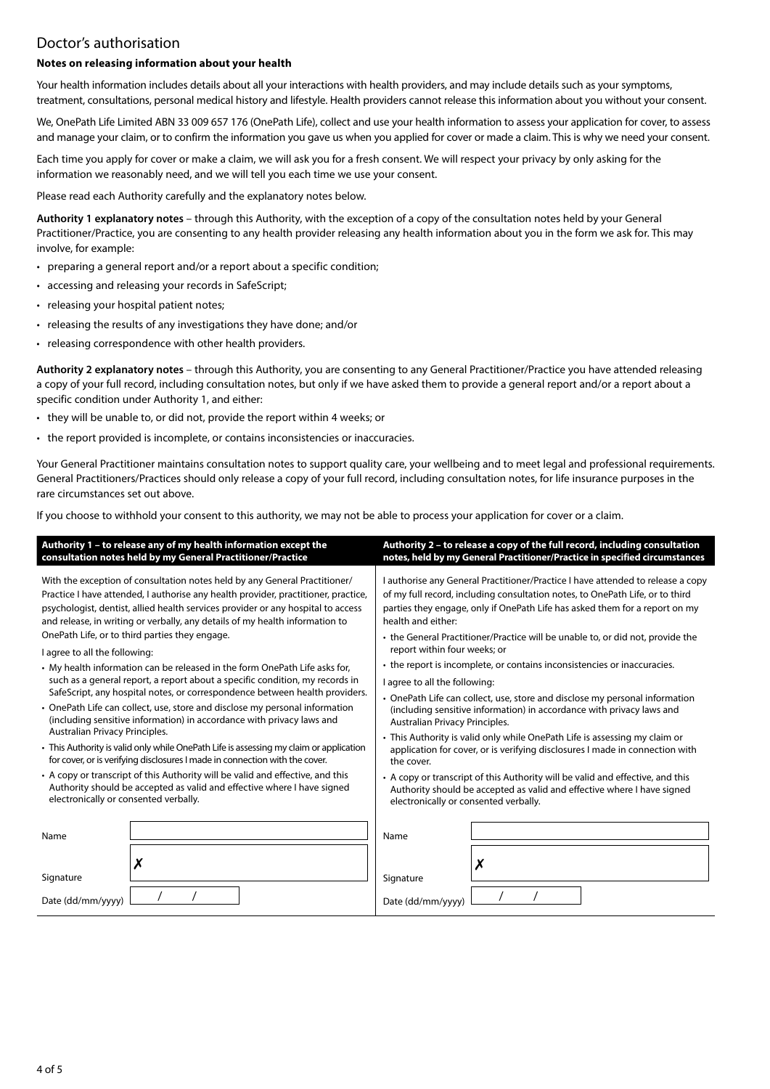# Doctor's authorisation

#### **Notes on releasing information about your health**

Your health information includes details about all your interactions with health providers, and may include details such as your symptoms, treatment, consultations, personal medical history and lifestyle. Health providers cannot release this information about you without your consent.

We, OnePath Life Limited ABN 33 009 657 176 (OnePath Life), collect and use your health information to assess your application for cover, to assess and manage your claim, or to confirm the information you gave us when you applied for cover or made a claim. This is why we need your consent.

Each time you apply for cover or make a claim, we will ask you for a fresh consent. We will respect your privacy by only asking for the information we reasonably need, and we will tell you each time we use your consent.

Please read each Authority carefully and the explanatory notes below.

**Authority 1 explanatory notes** – through this Authority, with the exception of a copy of the consultation notes held by your General Practitioner/Practice, you are consenting to any health provider releasing any health information about you in the form we ask for. This may involve, for example:

- preparing a general report and/or a report about a specific condition;
- accessing and releasing your records in SafeScript;
- releasing your hospital patient notes;
- releasing the results of any investigations they have done; and/or
- releasing correspondence with other health providers.

**Authority 2 explanatory notes** – through this Authority, you are consenting to any General Practitioner/Practice you have attended releasing a copy of your full record, including consultation notes, but only if we have asked them to provide a general report and/or a report about a specific condition under Authority 1, and either:

- they will be unable to, or did not, provide the report within 4 weeks; or
- the report provided is incomplete, or contains inconsistencies or inaccuracies.

Your General Practitioner maintains consultation notes to support quality care, your wellbeing and to meet legal and professional requirements. General Practitioners/Practices should only release a copy of your full record, including consultation notes, for life insurance purposes in the rare circumstances set out above.

If you choose to withhold your consent to this authority, we may not be able to process your application for cover or a claim.

| Authority 1 - to release any of my health information except the                       | Authority 2 - to release a copy of the full record, including consultation      |  |  |  |
|----------------------------------------------------------------------------------------|---------------------------------------------------------------------------------|--|--|--|
| consultation notes held by my General Practitioner/Practice                            | notes, held by my General Practitioner/Practice in specified circumstances      |  |  |  |
| With the exception of consultation notes held by any General Practitioner/             | I authorise any General Practitioner/Practice I have attended to release a copy |  |  |  |
| Practice I have attended, I authorise any health provider, practitioner, practice,     | of my full record, including consultation notes, to OnePath Life, or to third   |  |  |  |
| psychologist, dentist, allied health services provider or any hospital to access       | parties they engage, only if OnePath Life has asked them for a report on my     |  |  |  |
| and release, in writing or verbally, any details of my health information to           | health and either:                                                              |  |  |  |
| OnePath Life, or to third parties they engage.                                         | • the General Practitioner/Practice will be unable to, or did not, provide the  |  |  |  |
| I agree to all the following:                                                          | report within four weeks; or                                                    |  |  |  |
| • My health information can be released in the form OnePath Life asks for,             | • the report is incomplete, or contains inconsistencies or inaccuracies.        |  |  |  |
| such as a general report, a report about a specific condition, my records in           | I agree to all the following:                                                   |  |  |  |
| SafeScript, any hospital notes, or correspondence between health providers.            | • OnePath Life can collect, use, store and disclose my personal information     |  |  |  |
| • OnePath Life can collect, use, store and disclose my personal information            | (including sensitive information) in accordance with privacy laws and           |  |  |  |
| (including sensitive information) in accordance with privacy laws and                  | Australian Privacy Principles.                                                  |  |  |  |
| Australian Privacy Principles.                                                         | • This Authority is valid only while OnePath Life is assessing my claim or      |  |  |  |
| • This Authority is valid only while OnePath Life is assessing my claim or application | application for cover, or is verifying disclosures I made in connection with    |  |  |  |
| for cover, or is verifying disclosures I made in connection with the cover.            | the cover.                                                                      |  |  |  |
| • A copy or transcript of this Authority will be valid and effective, and this         | • A copy or transcript of this Authority will be valid and effective, and this  |  |  |  |
| Authority should be accepted as valid and effective where I have signed                | Authority should be accepted as valid and effective where I have signed         |  |  |  |
| electronically or consented verbally.                                                  | electronically or consented verbally.                                           |  |  |  |
| Name<br>Х<br>Signature<br>Date (dd/mm/yyyy)                                            | Name<br>Signature<br>Date (dd/mm/yyyy)                                          |  |  |  |